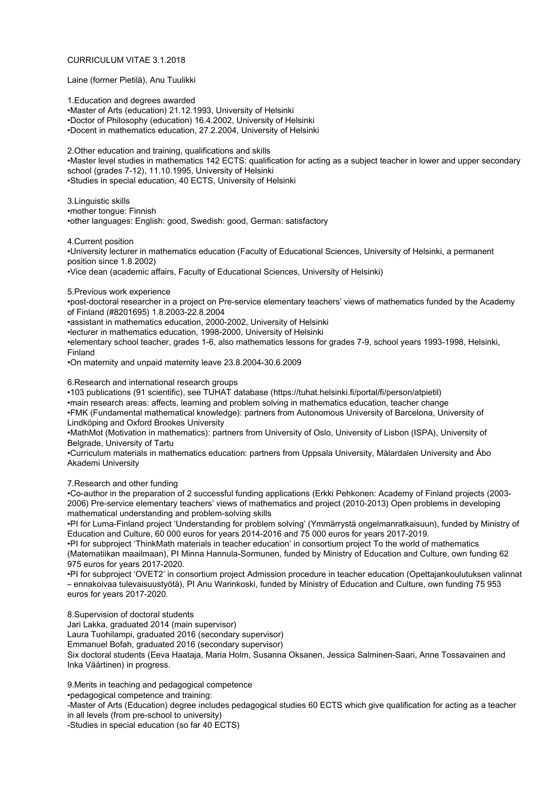## CURRICULUM VITAE 3.1.2018

Laine (former Pietilä), Anu Tuulikki

1.Education and degrees awarded •Master of Arts (education) 21.12.1993, University of Helsinki •Doctor of Philosophy (education) 16.4.2002, University of Helsinki •Docent in mathematics education, 27.2.2004, University of Helsinki

2.Other education and training, qualifications and skills •Master level studies in mathematics 142 ECTS: qualification for acting as a subject teacher in lower and upper secondary school (grades 7-12), 11.10.1995, University of Helsinki •Studies in special education, 40 ECTS, University of Helsinki

3.Linguistic skills •mother tongue: Finnish •other languages: English: good, Swedish: good, German: satisfactory

4.Current position

•University lecturer in mathematics education (Faculty of Educational Sciences, University of Helsinki, a permanent position since 1.8.2002)

•Vice dean (academic affairs, Faculty of Educational Sciences, University of Helsinki)

## 5.Previous work experience

•post-doctoral researcher in a project on Pre-service elementary teachers' views of mathematics funded by the Academy of Finland (#8201695) 1.8.2003-22.8.2004

•assistant in mathematics education, 2000-2002, University of Helsinki

•lecturer in mathematics education, 1998-2000, University of Helsinki

•elementary school teacher, grades 1-6, also mathematics lessons for grades 7-9, school years 1993-1998, Helsinki, Finland

•On maternity and unpaid maternity leave 23.8.2004-30.6.2009

6.Research and international research groups

•103 publications (91 scientific), see TUHAT database (https://tuhat.helsinki.fi/portal/fi/person/atpietil)

•main research areas: affects, learning and problem solving in mathematics education, teacher change •FMK (Fundamental mathematical knowledge): partners from Autonomous University of Barcelona, University of

Lindköping and Oxford Brookes University

•MathMot (Motivation in mathematics): partners from University of Oslo, University of Lisbon (ISPA), University of Belgrade, University of Tartu

•Curriculum materials in mathematics education: partners from Uppsala University, Mälardalen University and Åbo Akademi University

7.Research and other funding

•Co-author in the preparation of 2 successful funding applications (Erkki Pehkonen: Academy of Finland projects (2003- 2006) Pre-service elementary teachers' views of mathematics and project (2010-2013) Open problems in developing mathematical understanding and problem-solving skills

•PI for Luma-Finland project 'Understanding for problem solving' (Ymmärrystä ongelmanratkaisuun), funded by Ministry of Education and Culture, 60 000 euros for years 2014-2016 and 75 000 euros for years 2017-2019.

•PI for subproject 'ThinkMath materials in teacher education' in consortium project To the world of mathematics (Matematiikan maailmaan), PI Minna Hannula-Sormunen, funded by Ministry of Education and Culture, own funding 62 975 euros for years 2017-2020.

•PI for subproject 'OVET2' in consortium project Admission procedure in teacher education (Opettajankoulutuksen valinnat – ennakoivaa tulevaisuustyötä), PI Anu Warinkoski, funded by Ministry of Education and Culture, own funding 75 953 euros for years 2017-2020.

8.Supervision of doctoral students

Jari Lakka, graduated 2014 (main supervisor)

Laura Tuohilampi, graduated 2016 (secondary supervisor)

Emmanuel Bofah, graduated 2016 (secondary supervisor)

Six doctoral students (Eeva Haataja, Maria Holm, Susanna Oksanen, Jessica Salminen-Saari, Anne Tossavainen and Inka Väärtinen) in progress.

9.Merits in teaching and pedagogical competence

•pedagogical competence and training:

-Master of Arts (Education) degree includes pedagogical studies 60 ECTS which give qualification for acting as a teacher in all levels (from pre-school to university)

-Studies in special education (so far 40 ECTS)